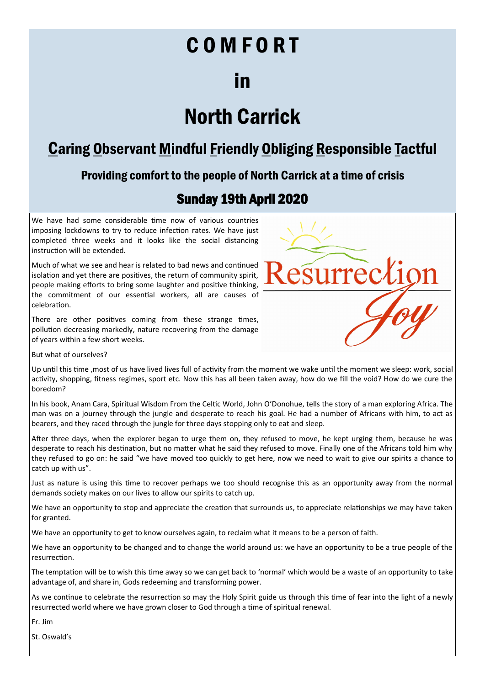# C O M F O R T

## in

## North Carrick

### Caring Observant Mindful Friendly Obliging Responsible Tactful

### Providing comfort to the people of North Carrick at a time of crisis

### Sunday 19th April 2020

We have had some considerable time now of various countries imposing lockdowns to try to reduce infection rates. We have just completed three weeks and it looks like the social distancing instruction will be extended.

Much of what we see and hear is related to bad news and continued isolation and yet there are positives, the return of community spirit, people making efforts to bring some laughter and positive thinking, the commitment of our essential workers, all are causes of celebration.

There are other positives coming from these strange times, pollution decreasing markedly, nature recovering from the damage of years within a few short weeks.



But what of ourselves?

Up until this time ,most of us have lived lives full of activity from the moment we wake until the moment we sleep: work, social activity, shopping, fitness regimes, sport etc. Now this has all been taken away, how do we fill the void? How do we cure the boredom?

In his book, Anam Cara, Spiritual Wisdom From the Celtic World, John O'Donohue, tells the story of a man exploring Africa. The man was on a journey through the jungle and desperate to reach his goal. He had a number of Africans with him, to act as bearers, and they raced through the jungle for three days stopping only to eat and sleep.

After three days, when the explorer began to urge them on, they refused to move, he kept urging them, because he was desperate to reach his destination, but no matter what he said they refused to move. Finally one of the Africans told him why they refused to go on: he said "we have moved too quickly to get here, now we need to wait to give our spirits a chance to catch up with us".

Just as nature is using this time to recover perhaps we too should recognise this as an opportunity away from the normal demands society makes on our lives to allow our spirits to catch up.

We have an opportunity to stop and appreciate the creation that surrounds us, to appreciate relationships we may have taken for granted.

We have an opportunity to get to know ourselves again, to reclaim what it means to be a person of faith.

We have an opportunity to be changed and to change the world around us: we have an opportunity to be a true people of the resurrection.

The temptation will be to wish this time away so we can get back to 'normal' which would be a waste of an opportunity to take advantage of, and share in, Gods redeeming and transforming power.

As we continue to celebrate the resurrection so may the Holy Spirit guide us through this time of fear into the light of a newly resurrected world where we have grown closer to God through a time of spiritual renewal.

Fr. Jim

St. Oswald's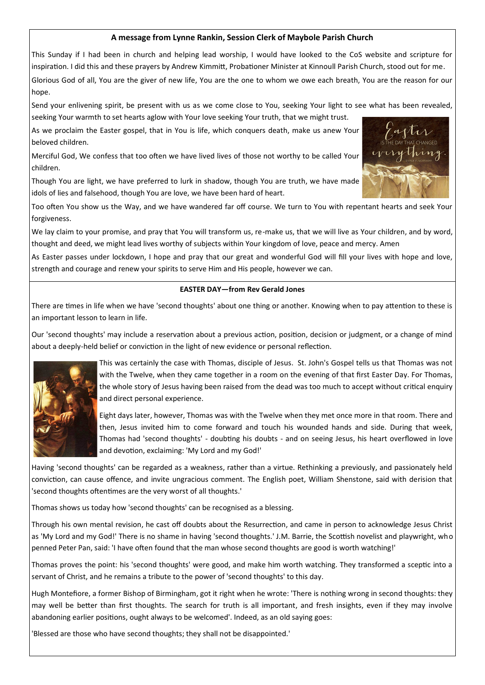#### **A message from Lynne Rankin, Session Clerk of Maybole Parish Church**

This Sunday if I had been in church and helping lead worship, I would have looked to the CoS website and scripture for inspiration. I did this and these prayers by Andrew Kimmitt, Probationer Minister at Kinnoull Parish Church, stood out for me. Glorious God of all, You are the giver of new life, You are the one to whom we owe each breath, You are the reason for our hope.

Send your enlivening spirit, be present with us as we come close to You, seeking Your light to see what has been revealed, seeking Your warmth to set hearts aglow with Your love seeking Your truth, that we might trust.

As we proclaim the Easter gospel, that in You is life, which conquers death, make us anew Your beloved children.

Merciful God, We confess that too often we have lived lives of those not worthy to be called Your children.

Though You are light, we have preferred to lurk in shadow, though You are truth, we have made idols of lies and falsehood, though You are love, we have been hard of heart.

Too often You show us the Way, and we have wandered far off course. We turn to You with repentant hearts and seek Your forgiveness.

We lay claim to your promise, and pray that You will transform us, re-make us, that we will live as Your children, and by word, thought and deed, we might lead lives worthy of subjects within Your kingdom of love, peace and mercy. Amen

As Easter passes under lockdown, I hope and pray that our great and wonderful God will fill your lives with hope and love, strength and courage and renew your spirits to serve Him and His people, however we can.

#### **EASTER DAY—from Rev Gerald Jones**

There are times in life when we have 'second thoughts' about one thing or another. Knowing when to pay attention to these is an important lesson to learn in life.

Our 'second thoughts' may include a reservation about a previous action, position, decision or judgment, or a change of mind about a deeply-held belief or conviction in the light of new evidence or personal reflection.



This was certainly the case with Thomas, disciple of Jesus. St. John's Gospel tells us that Thomas was not with the Twelve, when they came together in a room on the evening of that first Easter Day. For Thomas, the whole story of Jesus having been raised from the dead was too much to accept without critical enquiry and direct personal experience.

Eight days later, however, Thomas was with the Twelve when they met once more in that room. There and then, Jesus invited him to come forward and touch his wounded hands and side. During that week, Thomas had 'second thoughts' - doubting his doubts - and on seeing Jesus, his heart overflowed in love and devotion, exclaiming: 'My Lord and my God!'

Having 'second thoughts' can be regarded as a weakness, rather than a virtue. Rethinking a previously, and passionately held conviction, can cause offence, and invite ungracious comment. The English poet, William Shenstone, said with derision that 'second thoughts oftentimes are the very worst of all thoughts.'

Thomas shows us today how 'second thoughts' can be recognised as a blessing.

Through his own mental revision, he cast off doubts about the Resurrection, and came in person to acknowledge Jesus Christ as 'My Lord and my God!' There is no shame in having 'second thoughts.' J.M. Barrie, the Scottish novelist and playwright, who penned Peter Pan, said: 'I have often found that the man whose second thoughts are good is worth watching!'

Thomas proves the point: his 'second thoughts' were good, and make him worth watching. They transformed a sceptic into a servant of Christ, and he remains a tribute to the power of 'second thoughts' to this day.

Hugh Montefiore, a former Bishop of Birmingham, got it right when he wrote: 'There is nothing wrong in second thoughts: they may well be better than first thoughts. The search for truth is all important, and fresh insights, even if they may involve abandoning earlier positions, ought always to be welcomed'. Indeed, as an old saying goes:

'Blessed are those who have second thoughts; they shall not be disappointed.'

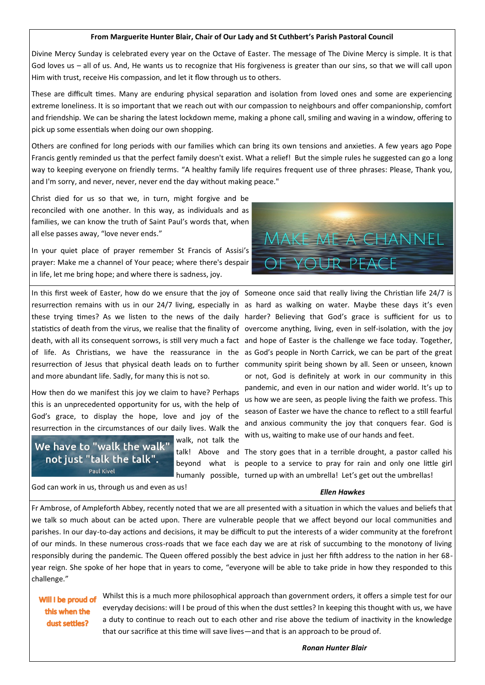#### **From Marguerite Hunter Blair, Chair of Our Lady and St Cuthbert's Parish Pastoral Council**

Divine Mercy Sunday is celebrated every year on the Octave of Easter. The message of The Divine Mercy is simple. It is that God loves us – all of us. And, He wants us to recognize that His forgiveness is greater than our sins, so that we will call upon Him with trust, receive His compassion, and let it flow through us to others.

These are difficult times. Many are enduring physical separation and isolation from loved ones and some are experiencing extreme loneliness. It is so important that we reach out with our compassion to neighbours and offer companionship, comfort and friendship. We can be sharing the latest lockdown meme, making a phone call, smiling and waving in a window, offering to pick up some essentials when doing our own shopping.

Others are confined for long periods with our families which can bring its own tensions and anxieties. A few years ago Pope Francis gently reminded us that the perfect family doesn't exist. What a relief! But the simple rules he suggested can go a long way to keeping everyone on friendly terms. "A healthy family life requires frequent use of three phrases: Please, Thank you, and I'm sorry, and never, never, never end the day without making peace."

Christ died for us so that we, in turn, might forgive and be reconciled with one another. In this way, as individuals and as families, we can know the truth of Saint Paul's words that, when all else passes away, "love never ends."

In your quiet place of prayer remember St Francis of Assisi's prayer: Make me a channel of Your peace; where there's despair in life, let me bring hope; and where there is sadness, joy.

In this first week of Easter, how do we ensure that the joy of Someone once said that really living the Christian life 24/7 is resurrection remains with us in our 24/7 living, especially in as hard as walking on water. Maybe these days it's even these trying times? As we listen to the news of the daily harder? Believing that God's grace is sufficient for us to statistics of death from the virus, we realise that the finality of overcome anything, living, even in self-isolation, with the joy death, with all its consequent sorrows, is still very much a fact and hope of Easter is the challenge we face today. Together, of life. As Christians, we have the reassurance in the as God's people in North Carrick, we can be part of the great resurrection of Jesus that physical death leads on to further community spirit being shown by all. Seen or unseen, known and more abundant life. Sadly, for many this is not so.

How then do we manifest this joy we claim to have? Perhaps this is an unprecedented opportunity for us, with the help of God's grace, to display the hope, love and joy of the resurrection in the circumstances of our daily lives. Walk the

#### We have to "walk the walk" not just "talk the talk". Paul Kivel

walk, not talk the



or not, God is definitely at work in our community in this pandemic, and even in our nation and wider world. It's up to us how we are seen, as people living the faith we profess. This season of Easter we have the chance to reflect to a still fearful and anxious community the joy that conquers fear. God is with us, waiting to make use of our hands and feet.

talk! Above and The story goes that in a terrible drought, a pastor called his beyond what is people to a service to pray for rain and only one little girl humanly possible, turned up with an umbrella! Let's get out the umbrellas!

*Ellen Hawkes*

God can work in us, through us and even as us!

Fr Ambrose, of Ampleforth Abbey, recently noted that we are all presented with a situation in which the values and beliefs that we talk so much about can be acted upon. There are vulnerable people that we affect beyond our local communities and parishes. In our day-to-day actions and decisions, it may be difficult to put the interests of a wider community at the forefront of our minds. In these numerous cross-roads that we face each day we are at risk of succumbing to the monotony of living responsibly during the pandemic. The Queen offered possibly the best advice in just her fifth address to the nation in her 68 year reign. She spoke of her hope that in years to come, "everyone will be able to take pride in how they responded to this challenge."

#### Will I be proud of this when the dust settles?

Whilst this is a much more philosophical approach than government orders, it offers a simple test for our everyday decisions: will I be proud of this when the dust settles? In keeping this thought with us, we have a duty to continue to reach out to each other and rise above the tedium of inactivity in the knowledge that our sacrifice at this time will save lives—and that is an approach to be proud of.

*Ronan Hunter Blair*